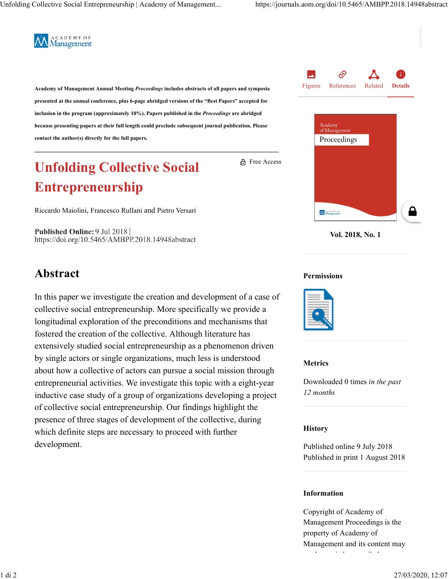

Academy of Management Annual Meeting Proceedings includes abstracts of all papers and symposia<br>
Figures References Related presented at the annual conference, plus 6-page abridged versions of the "Best Papers" accepted for inclusion in the program (approximately 10%). Papers published in the Proceedings are abridged because presenting papers at their full length could preclude subsequent journal publication. Please and the condition of Management of Management of Management of Management of Management of Management of Management of Ma contact the author(s) directly for the full papers.

# Unfolding Collective Social Entrepreneurship

Riccardo Maiolini, Francesco Rullani and Pietro Versari

Published Online: 9 Jul 2018 https://doi.org/10.5465/AMBPP.2018.14948abstract

## Abstract

In this paper we investigate the creation and development of a case of collective social entrepreneurship. More specifically we provide a longitudinal exploration of the preconditions and mechanisms that fostered the creation of the collective. Although literature has extensively studied social entrepreneurship as a phenomenon driven by single actors or single organizations, much less is understood about how a collective of actors can pursue a social mission through entrepreneurial activities. We investigate this topic with a eight-year inductive case study of a group of organizations developing a project of collective social entrepreneurship. Our findings highlight the presence of three stages of development of the collective, during which definite steps are necessary to proceed with further development.





Vol. 2018, No. 1

#### Permissions

Free Access



### Metrics

Downloaded 0 times in the past 12 months

### **History**

Published online 9 July 2018 Published in print 1 August 2018

### Information

Copyright of Academy of Management Proceedings is the property of Academy of Management and its content may not be copied or emailed to the copied or emailed to the copied of the copied or emailed to the copied of the<br>The copied of the copied of the copied of the copied of the copied of the copied of the copied of the copied o